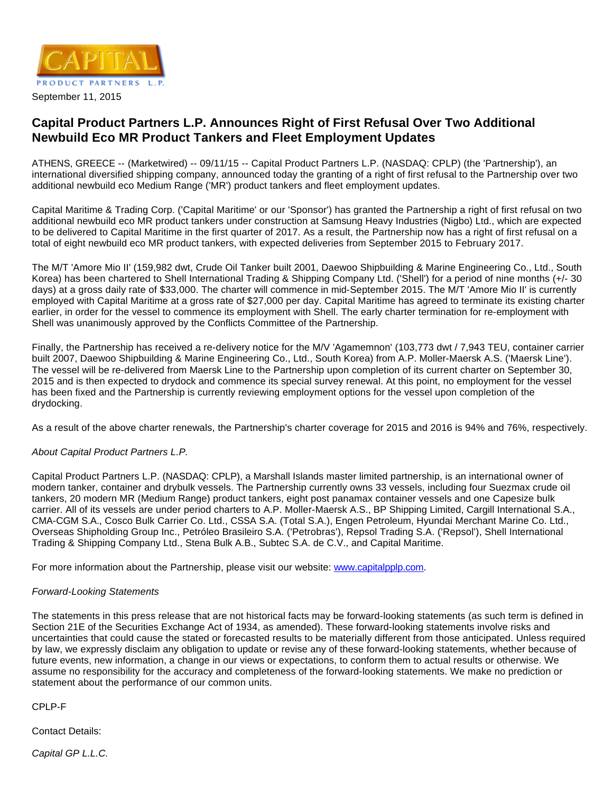

## **Capital Product Partners L.P. Announces Right of First Refusal Over Two Additional Newbuild Eco MR Product Tankers and Fleet Employment Updates**

ATHENS, GREECE -- (Marketwired) -- 09/11/15 -- Capital Product Partners L.P. (NASDAQ: CPLP) (the 'Partnership'), an international diversified shipping company, announced today the granting of a right of first refusal to the Partnership over two additional newbuild eco Medium Range ('MR') product tankers and fleet employment updates.

Capital Maritime & Trading Corp. ('Capital Maritime' or our 'Sponsor') has granted the Partnership a right of first refusal on two additional newbuild eco MR product tankers under construction at Samsung Heavy Industries (Nigbo) Ltd., which are expected to be delivered to Capital Maritime in the first quarter of 2017. As a result, the Partnership now has a right of first refusal on a total of eight newbuild eco MR product tankers, with expected deliveries from September 2015 to February 2017.

The M/T 'Amore Mio II' (159,982 dwt, Crude Oil Tanker built 2001, Daewoo Shipbuilding & Marine Engineering Co., Ltd., South Korea) has been chartered to Shell International Trading & Shipping Company Ltd. ('Shell') for a period of nine months (+/- 30 days) at a gross daily rate of \$33,000. The charter will commence in mid-September 2015. The M/T 'Amore Mio II' is currently employed with Capital Maritime at a gross rate of \$27,000 per day. Capital Maritime has agreed to terminate its existing charter earlier, in order for the vessel to commence its employment with Shell. The early charter termination for re-employment with Shell was unanimously approved by the Conflicts Committee of the Partnership.

Finally, the Partnership has received a re-delivery notice for the M/V 'Agamemnon' (103,773 dwt / 7,943 TEU, container carrier built 2007, Daewoo Shipbuilding & Marine Engineering Co., Ltd., South Korea) from A.P. Moller-Maersk A.S. ('Maersk Line'). The vessel will be re-delivered from Maersk Line to the Partnership upon completion of its current charter on September 30, 2015 and is then expected to drydock and commence its special survey renewal. At this point, no employment for the vessel has been fixed and the Partnership is currently reviewing employment options for the vessel upon completion of the drydocking.

As a result of the above charter renewals, the Partnership's charter coverage for 2015 and 2016 is 94% and 76%, respectively.

## About Capital Product Partners L.P.

Capital Product Partners L.P. (NASDAQ: CPLP), a Marshall Islands master limited partnership, is an international owner of modern tanker, container and drybulk vessels. The Partnership currently owns 33 vessels, including four Suezmax crude oil tankers, 20 modern MR (Medium Range) product tankers, eight post panamax container vessels and one Capesize bulk carrier. All of its vessels are under period charters to A.P. Moller-Maersk A.S., BP Shipping Limited, Cargill International S.A., CMA-CGM S.A., Cosco Bulk Carrier Co. Ltd., CSSA S.A. (Total S.A.), Engen Petroleum, Hyundai Merchant Marine Co. Ltd., Overseas Shipholding Group Inc., Petróleo Brasileiro S.A. ('Petrobras'), Repsol Trading S.A. ('Repsol'), Shell International Trading & Shipping Company Ltd., Stena Bulk A.B., Subtec S.A. de C.V., and Capital Maritime.

For more information about the Partnership, please visit our website: [www.capitalpplp.com](http://www.capitalpplp.com/).

## Forward-Looking Statements

The statements in this press release that are not historical facts may be forward-looking statements (as such term is defined in Section 21E of the Securities Exchange Act of 1934, as amended). These forward-looking statements involve risks and uncertainties that could cause the stated or forecasted results to be materially different from those anticipated. Unless required by law, we expressly disclaim any obligation to update or revise any of these forward-looking statements, whether because of future events, new information, a change in our views or expectations, to conform them to actual results or otherwise. We assume no responsibility for the accuracy and completeness of the forward-looking statements. We make no prediction or statement about the performance of our common units.

CPLP-F

Contact Details:

Capital GP L.L.C.